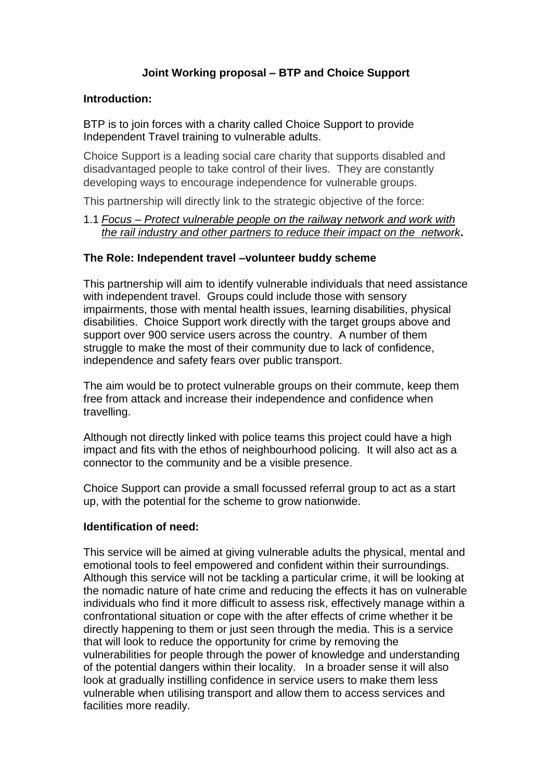# **Joint Working proposal – BTP and Choice Support**

#### **Introduction:**

BTP is to join forces with a charity called Choice Support to provide Independent Travel training to vulnerable adults.

Choice Support is a leading social care charity that supports disabled and disadvantaged people to take control of their lives. They are constantly developing ways to encourage independence for vulnerable groups.

This partnership will directly link to the strategic objective of the force:

#### 1.1 *Focus – Protect vulnerable people on the railway network and work with the rail industry and other partners to reduce their impact on the network***.**

#### **The Role: Independent travel –volunteer buddy scheme**

This partnership will aim to identify vulnerable individuals that need assistance with independent travel. Groups could include those with sensory impairments, those with mental health issues, learning disabilities, physical disabilities. Choice Support work directly with the target groups above and support over 900 service users across the country. A number of them struggle to make the most of their community due to lack of confidence, independence and safety fears over public transport.

The aim would be to protect vulnerable groups on their commute, keep them free from attack and increase their independence and confidence when travelling.

Although not directly linked with police teams this project could have a high impact and fits with the ethos of neighbourhood policing. It will also act as a connector to the community and be a visible presence.

Choice Support can provide a small focussed referral group to act as a start up, with the potential for the scheme to grow nationwide.

### **Identification of need:**

This service will be aimed at giving vulnerable adults the physical, mental and emotional tools to feel empowered and confident within their surroundings. Although this service will not be tackling a particular crime, it will be looking at the nomadic nature of hate crime and reducing the effects it has on vulnerable individuals who find it more difficult to assess risk, effectively manage within a confrontational situation or cope with the after effects of crime whether it be directly happening to them or just seen through the media. This is a service that will look to reduce the opportunity for crime by removing the vulnerabilities for people through the power of knowledge and understanding of the potential dangers within their locality. In a broader sense it will also look at gradually instilling confidence in service users to make them less vulnerable when utilising transport and allow them to access services and facilities more readily.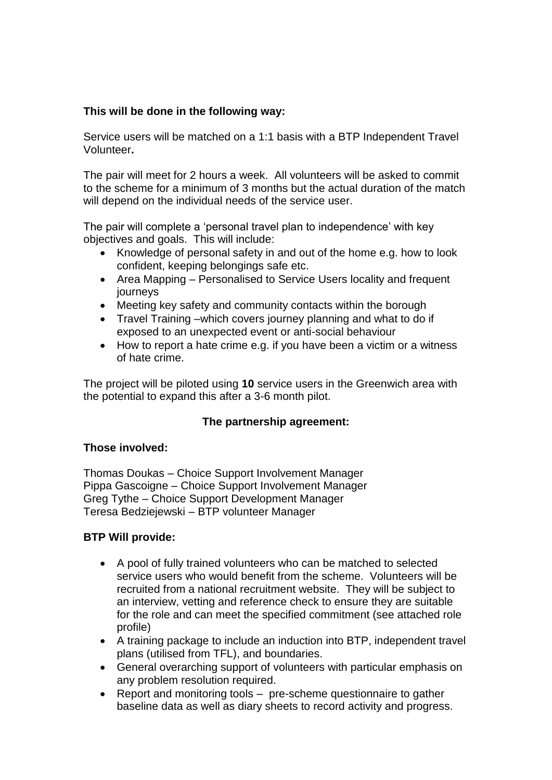## **This will be done in the following way:**

Service users will be matched on a 1:1 basis with a BTP Independent Travel Volunteer**.** 

The pair will meet for 2 hours a week. All volunteers will be asked to commit to the scheme for a minimum of 3 months but the actual duration of the match will depend on the individual needs of the service user.

The pair will complete a 'personal travel plan to independence' with key objectives and goals. This will include:

- Knowledge of personal safety in and out of the home e.g. how to look confident, keeping belongings safe etc.
- Area Mapping Personalised to Service Users locality and frequent journeys
- Meeting key safety and community contacts within the borough
- Travel Training –which covers journey planning and what to do if exposed to an unexpected event or anti-social behaviour
- How to report a hate crime e.g. if you have been a victim or a witness of hate crime.

The project will be piloted using **10** service users in the Greenwich area with the potential to expand this after a 3-6 month pilot.

### **The partnership agreement:**

### **Those involved:**

Thomas Doukas – Choice Support Involvement Manager Pippa Gascoigne – Choice Support Involvement Manager Greg Tythe – Choice Support Development Manager Teresa Bedziejewski – BTP volunteer Manager

### **BTP Will provide:**

- A pool of fully trained volunteers who can be matched to selected service users who would benefit from the scheme. Volunteers will be recruited from a national recruitment website. They will be subject to an interview, vetting and reference check to ensure they are suitable for the role and can meet the specified commitment (see attached role profile)
- A training package to include an induction into BTP, independent travel plans (utilised from TFL), and boundaries.
- General overarching support of volunteers with particular emphasis on any problem resolution required.
- Report and monitoring tools pre-scheme questionnaire to gather baseline data as well as diary sheets to record activity and progress.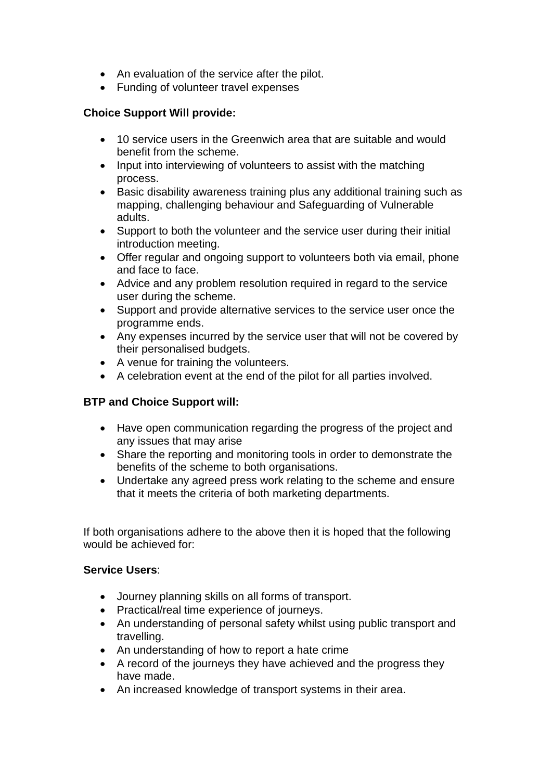- An evaluation of the service after the pilot.
- Funding of volunteer travel expenses

## **Choice Support Will provide:**

- 10 service users in the Greenwich area that are suitable and would benefit from the scheme.
- Input into interviewing of volunteers to assist with the matching process.
- Basic disability awareness training plus any additional training such as mapping, challenging behaviour and Safeguarding of Vulnerable adults.
- Support to both the volunteer and the service user during their initial introduction meeting.
- Offer regular and ongoing support to volunteers both via email, phone and face to face.
- Advice and any problem resolution required in regard to the service user during the scheme.
- Support and provide alternative services to the service user once the programme ends.
- Any expenses incurred by the service user that will not be covered by their personalised budgets.
- A venue for training the volunteers.
- A celebration event at the end of the pilot for all parties involved.

## **BTP and Choice Support will:**

- Have open communication regarding the progress of the project and any issues that may arise
- Share the reporting and monitoring tools in order to demonstrate the benefits of the scheme to both organisations.
- Undertake any agreed press work relating to the scheme and ensure that it meets the criteria of both marketing departments.

If both organisations adhere to the above then it is hoped that the following would be achieved for:

### **Service Users**:

- Journey planning skills on all forms of transport.
- Practical/real time experience of journeys.
- An understanding of personal safety whilst using public transport and travelling.
- An understanding of how to report a hate crime
- A record of the journeys they have achieved and the progress they have made.
- An increased knowledge of transport systems in their area.